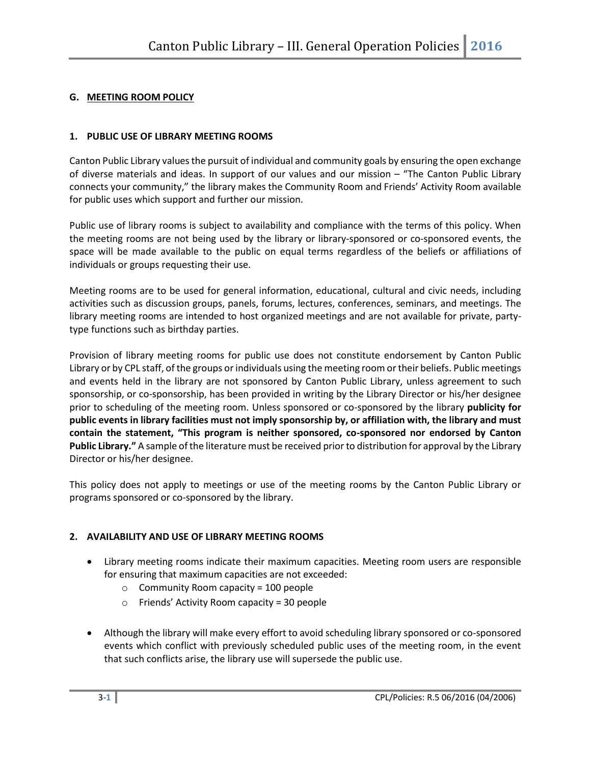#### **G. MEETING ROOM POLICY**

#### **1. PUBLIC USE OF LIBRARY MEETING ROOMS**

Canton Public Library values the pursuit of individual and community goals by ensuring the open exchange of diverse materials and ideas. In support of our values and our mission – "The Canton Public Library connects your community," the library makes the Community Room and Friends' Activity Room available for public uses which support and further our mission.

Public use of library rooms is subject to availability and compliance with the terms of this policy. When the meeting rooms are not being used by the library or library-sponsored or co-sponsored events, the space will be made available to the public on equal terms regardless of the beliefs or affiliations of individuals or groups requesting their use.

Meeting rooms are to be used for general information, educational, cultural and civic needs, including activities such as discussion groups, panels, forums, lectures, conferences, seminars, and meetings. The library meeting rooms are intended to host organized meetings and are not available for private, partytype functions such as birthday parties.

Provision of library meeting rooms for public use does not constitute endorsement by Canton Public Library or by CPL staff, of the groups or individuals using the meeting room or their beliefs. Public meetings and events held in the library are not sponsored by Canton Public Library, unless agreement to such sponsorship, or co-sponsorship, has been provided in writing by the Library Director or his/her designee prior to scheduling of the meeting room. Unless sponsored or co-sponsored by the library **publicity for public events in library facilities must not imply sponsorship by, or affiliation with, the library and must contain the statement, "This program is neither sponsored, co-sponsored nor endorsed by Canton Public Library."** A sample of the literature must be received prior to distribution for approval by the Library Director or his/her designee.

This policy does not apply to meetings or use of the meeting rooms by the Canton Public Library or programs sponsored or co-sponsored by the library.

# **2. AVAILABILITY AND USE OF LIBRARY MEETING ROOMS**

- Library meeting rooms indicate their maximum capacities. Meeting room users are responsible for ensuring that maximum capacities are not exceeded:
	- o Community Room capacity = 100 people
	- o Friends' Activity Room capacity = 30 people
- Although the library will make every effort to avoid scheduling library sponsored or co-sponsored events which conflict with previously scheduled public uses of the meeting room, in the event that such conflicts arise, the library use will supersede the public use.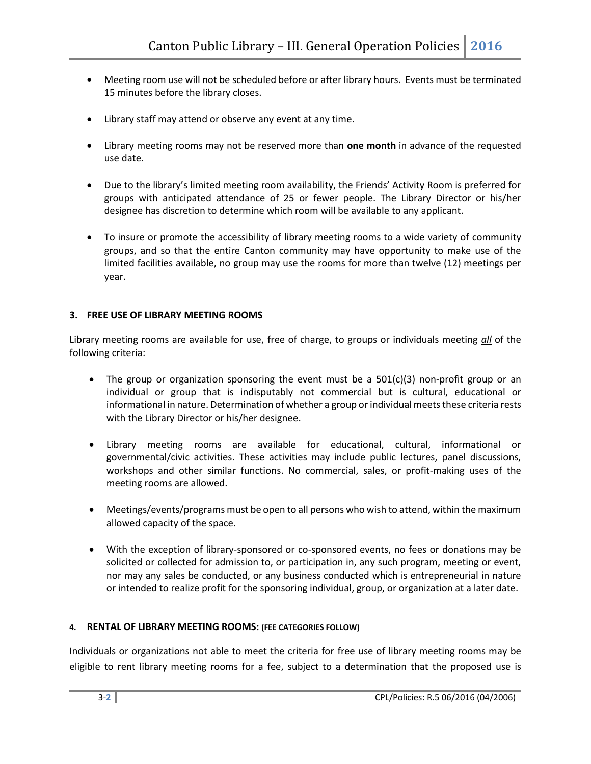- Meeting room use will not be scheduled before or after library hours. Events must be terminated 15 minutes before the library closes.
- Library staff may attend or observe any event at any time.
- Library meeting rooms may not be reserved more than **one month** in advance of the requested use date.
- Due to the library's limited meeting room availability, the Friends' Activity Room is preferred for groups with anticipated attendance of 25 or fewer people. The Library Director or his/her designee has discretion to determine which room will be available to any applicant.
- To insure or promote the accessibility of library meeting rooms to a wide variety of community groups, and so that the entire Canton community may have opportunity to make use of the limited facilities available, no group may use the rooms for more than twelve (12) meetings per year.

# **3. FREE USE OF LIBRARY MEETING ROOMS**

Library meeting rooms are available for use, free of charge, to groups or individuals meeting *all* of the following criteria:

- The group or organization sponsoring the event must be a  $501(c)(3)$  non-profit group or an individual or group that is indisputably not commercial but is cultural, educational or informational in nature. Determination of whether a group or individual meets these criteria rests with the Library Director or his/her designee.
- Library meeting rooms are available for educational, cultural, informational or governmental/civic activities. These activities may include public lectures, panel discussions, workshops and other similar functions. No commercial, sales, or profit-making uses of the meeting rooms are allowed.
- Meetings/events/programs must be open to all persons who wish to attend, within the maximum allowed capacity of the space.
- With the exception of library-sponsored or co-sponsored events, no fees or donations may be solicited or collected for admission to, or participation in, any such program, meeting or event, nor may any sales be conducted, or any business conducted which is entrepreneurial in nature or intended to realize profit for the sponsoring individual, group, or organization at a later date.

# **4. RENTAL OF LIBRARY MEETING ROOMS: (FEE CATEGORIES FOLLOW)**

Individuals or organizations not able to meet the criteria for free use of library meeting rooms may be eligible to rent library meeting rooms for a fee, subject to a determination that the proposed use is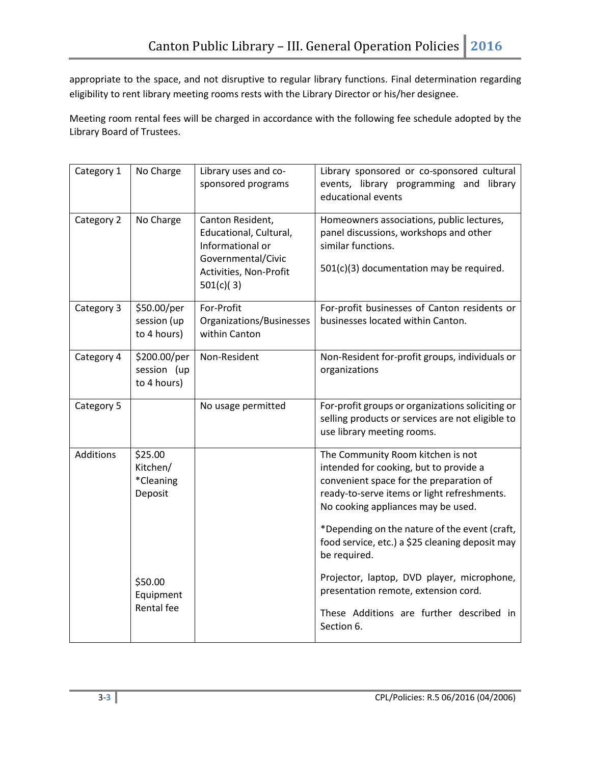appropriate to the space, and not disruptive to regular library functions. Final determination regarding eligibility to rent library meeting rooms rests with the Library Director or his/her designee.

Meeting room rental fees will be charged in accordance with the following fee schedule adopted by the Library Board of Trustees.

| Category 1 | No Charge                                   | Library uses and co-<br>sponsored programs                                                                                  | Library sponsored or co-sponsored cultural<br>events, library programming and library<br>educational events                                                                                                                                                                                                                     |
|------------|---------------------------------------------|-----------------------------------------------------------------------------------------------------------------------------|---------------------------------------------------------------------------------------------------------------------------------------------------------------------------------------------------------------------------------------------------------------------------------------------------------------------------------|
| Category 2 | No Charge                                   | Canton Resident,<br>Educational, Cultural,<br>Informational or<br>Governmental/Civic<br>Activities, Non-Profit<br>501(c)(3) | Homeowners associations, public lectures,<br>panel discussions, workshops and other<br>similar functions.<br>501(c)(3) documentation may be required.                                                                                                                                                                           |
| Category 3 | \$50.00/per<br>session (up<br>to 4 hours)   | For-Profit<br>Organizations/Businesses<br>within Canton                                                                     | For-profit businesses of Canton residents or<br>businesses located within Canton.                                                                                                                                                                                                                                               |
| Category 4 | \$200.00/per<br>session (up<br>to 4 hours)  | Non-Resident                                                                                                                | Non-Resident for-profit groups, individuals or<br>organizations                                                                                                                                                                                                                                                                 |
| Category 5 |                                             | No usage permitted                                                                                                          | For-profit groups or organizations soliciting or<br>selling products or services are not eligible to<br>use library meeting rooms.                                                                                                                                                                                              |
| Additions  | \$25.00<br>Kitchen/<br>*Cleaning<br>Deposit |                                                                                                                             | The Community Room kitchen is not<br>intended for cooking, but to provide a<br>convenient space for the preparation of<br>ready-to-serve items or light refreshments.<br>No cooking appliances may be used.<br>*Depending on the nature of the event (craft,<br>food service, etc.) a \$25 cleaning deposit may<br>be required. |
|            | \$50.00<br>Equipment<br>Rental fee          |                                                                                                                             | Projector, laptop, DVD player, microphone,<br>presentation remote, extension cord.<br>These Additions are further described in<br>Section 6.                                                                                                                                                                                    |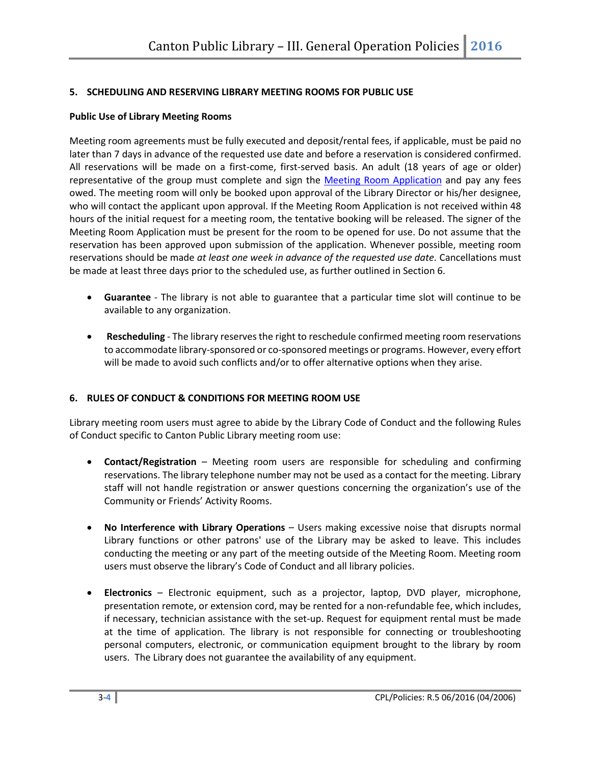# **5. SCHEDULING AND RESERVING LIBRARY MEETING ROOMS FOR PUBLIC USE**

#### **Public Use of Library Meeting Rooms**

Meeting room agreements must be fully executed and deposit/rental fees, if applicable, must be paid no later than 7 days in advance of the requested use date and before a reservation is considered confirmed. All reservations will be made on a first-come, first-served basis. An adult (18 years of age or older) representative of the group must complete and sign the [Meeting Room Application](https://www.cantonpl.org/sites/default/files/CPL_Meeting_Room_App_0.pdf) and pay any fees owed. The meeting room will only be booked upon approval of the Library Director or his/her designee, who will contact the applicant upon approval. If the Meeting Room Application is not received within 48 hours of the initial request for a meeting room, the tentative booking will be released. The signer of the Meeting Room Application must be present for the room to be opened for use. Do not assume that the reservation has been approved upon submission of the application. Whenever possible, meeting room reservations should be made *at least one week in advance of the requested use date.* Cancellations must be made at least three days prior to the scheduled use, as further outlined in Section 6.

- **Guarantee** The library is not able to guarantee that a particular time slot will continue to be available to any organization.
- **Rescheduling** The library reserves the right to reschedule confirmed meeting room reservations to accommodate library-sponsored or co-sponsored meetings or programs. However, every effort will be made to avoid such conflicts and/or to offer alternative options when they arise.

# **6. RULES OF CONDUCT & CONDITIONS FOR MEETING ROOM USE**

Library meeting room users must agree to abide by the Library Code of Conduct and the following Rules of Conduct specific to Canton Public Library meeting room use:

- **Contact/Registration** Meeting room users are responsible for scheduling and confirming reservations. The library telephone number may not be used as a contact for the meeting. Library staff will not handle registration or answer questions concerning the organization's use of the Community or Friends' Activity Rooms.
- **No Interference with Library Operations** Users making excessive noise that disrupts normal Library functions or other patrons' use of the Library may be asked to leave. This includes conducting the meeting or any part of the meeting outside of the Meeting Room. Meeting room users must observe the library's Code of Conduct and all library policies.
- **Electronics**  Electronic equipment, such as a projector, laptop, DVD player, microphone, presentation remote, or extension cord, may be rented for a non-refundable fee, which includes, if necessary, technician assistance with the set-up. Request for equipment rental must be made at the time of application. The library is not responsible for connecting or troubleshooting personal computers, electronic, or communication equipment brought to the library by room users. The Library does not guarantee the availability of any equipment.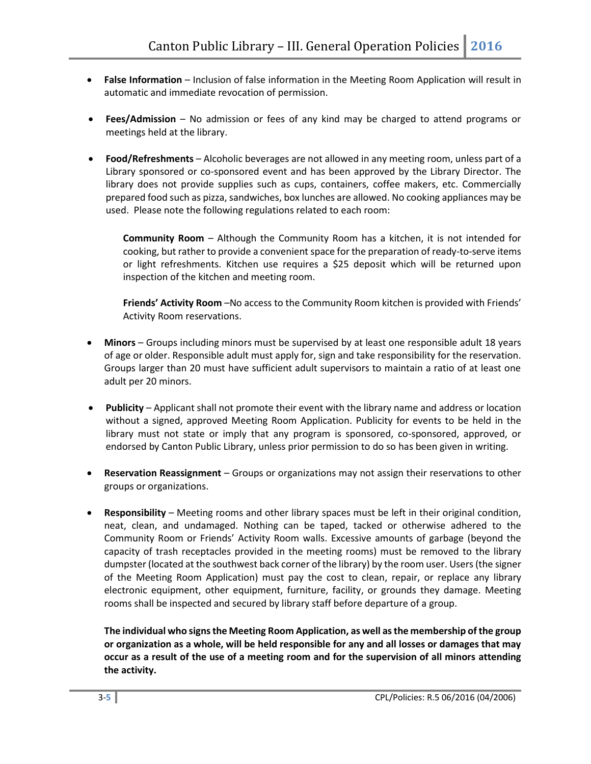- **False Information** Inclusion of false information in the Meeting Room Application will result in automatic and immediate revocation of permission.
- **Fees/Admission** No admission or fees of any kind may be charged to attend programs or meetings held at the library.
- **Food/Refreshments** Alcoholic beverages are not allowed in any meeting room, unless part of a Library sponsored or co-sponsored event and has been approved by the Library Director. The library does not provide supplies such as cups, containers, coffee makers, etc. Commercially prepared food such as pizza, sandwiches, box lunches are allowed. No cooking appliances may be used. Please note the following regulations related to each room:

**Community Room** – Although the Community Room has a kitchen, it is not intended for cooking, but rather to provide a convenient space for the preparation of ready-to-serve items or light refreshments. Kitchen use requires a \$25 deposit which will be returned upon inspection of the kitchen and meeting room.

**Friends' Activity Room** –No access to the Community Room kitchen is provided with Friends' Activity Room reservations.

- **Minors** Groups including minors must be supervised by at least one responsible adult 18 years of age or older. Responsible adult must apply for, sign and take responsibility for the reservation. Groups larger than 20 must have sufficient adult supervisors to maintain a ratio of at least one adult per 20 minors.
- **Publicity** Applicant shall not promote their event with the library name and address or location without a signed, approved Meeting Room Application. Publicity for events to be held in the library must not state or imply that any program is sponsored, co-sponsored, approved, or endorsed by Canton Public Library, unless prior permission to do so has been given in writing.
- **Reservation Reassignment** Groups or organizations may not assign their reservations to other groups or organizations.
- **Responsibility** Meeting rooms and other library spaces must be left in their original condition, neat, clean, and undamaged. Nothing can be taped, tacked or otherwise adhered to the Community Room or Friends' Activity Room walls. Excessive amounts of garbage (beyond the capacity of trash receptacles provided in the meeting rooms) must be removed to the library dumpster (located at the southwest back corner of the library) by the room user. Users (the signer of the Meeting Room Application) must pay the cost to clean, repair, or replace any library electronic equipment, other equipment, furniture, facility, or grounds they damage. Meeting rooms shall be inspected and secured by library staff before departure of a group.

**The individual who signs the Meeting Room Application, as well as the membership of the group or organization as a whole, will be held responsible for any and all losses or damages that may occur as a result of the use of a meeting room and for the supervision of all minors attending the activity.**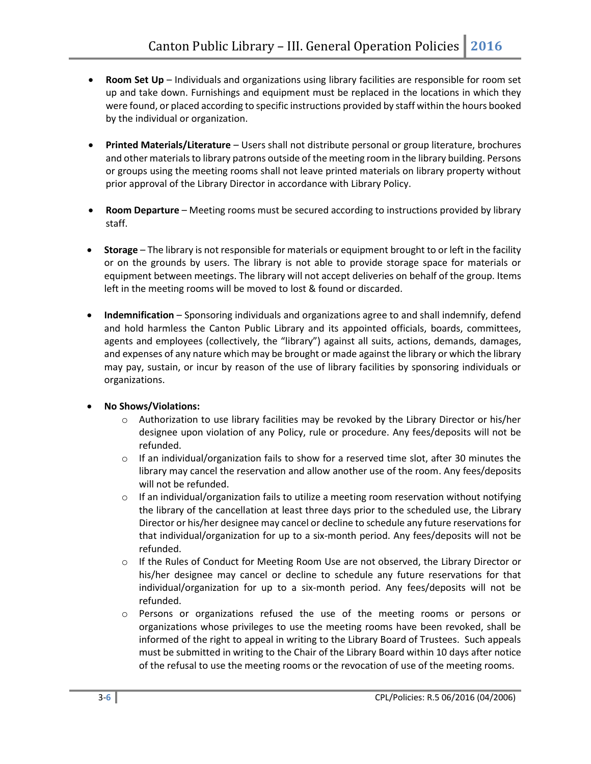- **Room Set Up** Individuals and organizations using library facilities are responsible for room set up and take down. Furnishings and equipment must be replaced in the locations in which they were found, or placed according to specific instructions provided by staff within the hours booked by the individual or organization.
- **Printed Materials/Literature**  Users shall not distribute personal or group literature, brochures and other materials to library patrons outside of the meeting room in the library building. Persons or groups using the meeting rooms shall not leave printed materials on library property without prior approval of the Library Director in accordance with Library Policy.
- **Room Departure** Meeting rooms must be secured according to instructions provided by library staff.
- **Storage** The library is not responsible for materials or equipment brought to or left in the facility or on the grounds by users. The library is not able to provide storage space for materials or equipment between meetings. The library will not accept deliveries on behalf of the group. Items left in the meeting rooms will be moved to lost & found or discarded.
- **Indemnification**  Sponsoring individuals and organizations agree to and shall indemnify, defend and hold harmless the Canton Public Library and its appointed officials, boards, committees, agents and employees (collectively, the "library") against all suits, actions, demands, damages, and expenses of any nature which may be brought or made against the library or which the library may pay, sustain, or incur by reason of the use of library facilities by sponsoring individuals or organizations.

# **No Shows/Violations:**

- o Authorization to use library facilities may be revoked by the Library Director or his/her designee upon violation of any Policy, rule or procedure. Any fees/deposits will not be refunded.
- $\circ$  If an individual/organization fails to show for a reserved time slot, after 30 minutes the library may cancel the reservation and allow another use of the room. Any fees/deposits will not be refunded.
- $\circ$  If an individual/organization fails to utilize a meeting room reservation without notifying the library of the cancellation at least three days prior to the scheduled use, the Library Director or his/her designee may cancel or decline to schedule any future reservations for that individual/organization for up to a six-month period. Any fees/deposits will not be refunded.
- o If the Rules of Conduct for Meeting Room Use are not observed, the Library Director or his/her designee may cancel or decline to schedule any future reservations for that individual/organization for up to a six-month period. Any fees/deposits will not be refunded.
- o Persons or organizations refused the use of the meeting rooms or persons or organizations whose privileges to use the meeting rooms have been revoked, shall be informed of the right to appeal in writing to the Library Board of Trustees. Such appeals must be submitted in writing to the Chair of the Library Board within 10 days after notice of the refusal to use the meeting rooms or the revocation of use of the meeting rooms.